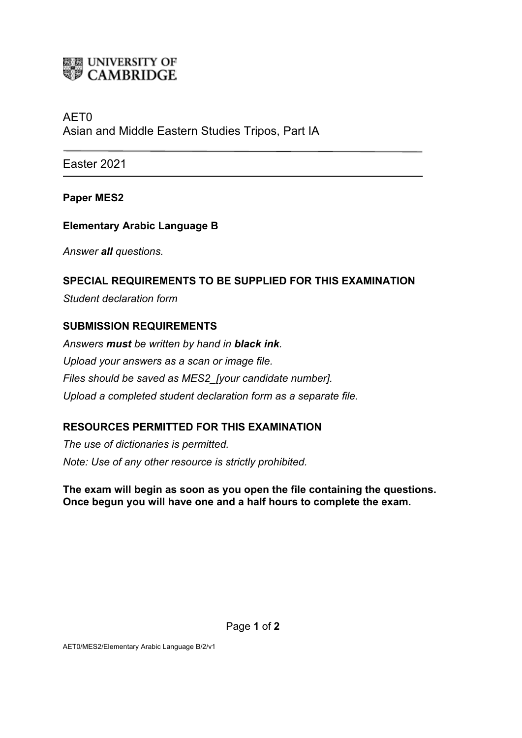

# AET0 Asian and Middle Eastern Studies Tripos, Part IA

Easter 2021

**Paper MES2**

## **Elementary Arabic Language B**

*Answer all questions.*

## **SPECIAL REQUIREMENTS TO BE SUPPLIED FOR THIS EXAMINATION**

*Student declaration form*

#### **SUBMISSION REQUIREMENTS**

*Answers must be written by hand in black ink. Upload your answers as a scan or image file. Files should be saved as MES2\_[your candidate number]. Upload a completed student declaration form as a separate file.*

# **RESOURCES PERMITTED FOR THIS EXAMINATION**

*The use of dictionaries is permitted. Note: Use of any other resource is strictly prohibited.*

**The exam will begin as soon as you open the file containing the questions. Once begun you will have one and a half hours to complete the exam.**